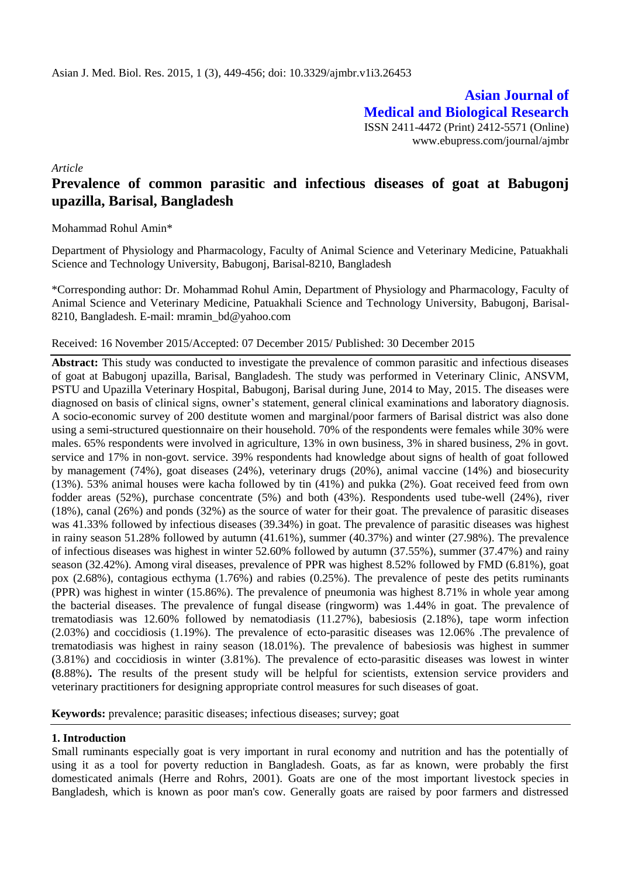**Asian Journal of Medical and Biological Research** ISSN 2411-4472 (Print) 2412-5571 (Online) www.ebupress.com/journal/ajmbr

*Article*

# **Prevalence of common parasitic and infectious diseases of goat at Babugonj upazilla, Barisal, Bangladesh**

Mohammad Rohul Amin\*

Department of Physiology and Pharmacology, Faculty of Animal Science and Veterinary Medicine, Patuakhali Science and Technology University, Babugonj, Barisal-8210, Bangladesh

\*Corresponding author: Dr. Mohammad Rohul Amin, Department of Physiology and Pharmacology, Faculty of Animal Science and Veterinary Medicine, Patuakhali Science and Technology University, Babugonj, Barisal-8210, Bangladesh. E-mail: mramin\_bd@yahoo.com

#### Received: 16 November 2015/Accepted: 07 December 2015/ Published: 30 December 2015

**Abstract:** This study was conducted to investigate the prevalence of common parasitic and infectious diseases of goat at Babugonj upazilla, Barisal, Bangladesh. The study was performed in Veterinary Clinic, ANSVM, PSTU and Upazilla Veterinary Hospital, Babugonj, Barisal during June, 2014 to May, 2015. The diseases were diagnosed on basis of clinical signs, owner's statement, general clinical examinations and laboratory diagnosis. A socio-economic survey of 200 destitute women and marginal/poor farmers of Barisal district was also done using a semi-structured questionnaire on their household. 70% of the respondents were females while 30% were males. 65% respondents were involved in agriculture, 13% in own business, 3% in shared business, 2% in govt. service and 17% in non-govt. service. 39% respondents had knowledge about signs of health of goat followed by management (74%), goat diseases (24%), veterinary drugs (20%), animal vaccine (14%) and biosecurity (13%). 53% animal houses were kacha followed by tin (41%) and pukka (2%). Goat received feed from own fodder areas (52%), purchase concentrate (5%) and both (43%). Respondents used tube-well (24%), river (18%), canal (26%) and ponds (32%) as the source of water for their goat. The prevalence of parasitic diseases was 41.33% followed by infectious diseases (39.34%) in goat. The prevalence of parasitic diseases was highest in rainy season 51.28% followed by autumn (41.61%), summer (40.37%) and winter (27.98%). The prevalence of infectious diseases was highest in winter 52.60% followed by autumn (37.55%), summer (37.47%) and rainy season (32.42%). Among viral diseases, prevalence of PPR was highest 8.52% followed by FMD (6.81%), goat pox (2.68%), contagious ecthyma (1.76%) and rabies (0.25%). The prevalence of peste des petits ruminants (PPR) was highest in winter (15.86%). The prevalence of pneumonia was highest 8.71% in whole year among the bacterial diseases. The prevalence of fungal disease (ringworm) was 1.44% in goat. The prevalence of trematodiasis was 12.60% followed by nematodiasis (11.27%), babesiosis (2.18%), tape worm infection (2.03%) and coccidiosis (1.19%). The prevalence of ecto-parasitic diseases was 12.06% .The prevalence of trematodiasis was highest in rainy season (18.01%). The prevalence of babesiosis was highest in summer (3.81%) and coccidiosis in winter (3.81%). The prevalence of ecto-parasitic diseases was lowest in winter **(**8.88%)**.** The results of the present study will be helpful for scientists, extension service providers and veterinary practitioners for designing appropriate control measures for such diseases of goat.

**Keywords:** prevalence; parasitic diseases; infectious diseases; survey; goat

### **1. Introduction**

Small ruminants especially goat is very important in rural economy and nutrition and has the potentially of using it as a tool for poverty reduction in Bangladesh. Goats, as far as known, were probably the first domesticated animals (Herre and Rohrs, 2001). Goats are one of the most important livestock species in Bangladesh, which is known as poor man's cow. Generally goats are raised by poor farmers and distressed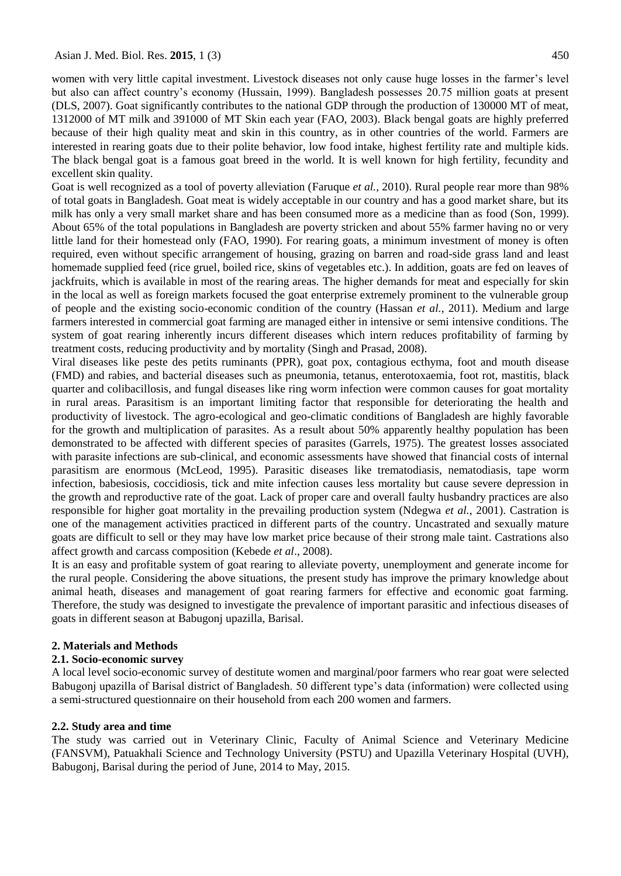women with very little capital investment. Livestock diseases not only cause huge losses in the farmer's level but also can affect country's economy (Hussain, 1999). Bangladesh possesses 20.75 million goats at present (DLS, 2007). Goat significantly contributes to the national GDP through the production of 130000 MT of meat, 1312000 of MT milk and 391000 of MT Skin each year (FAO, 2003). Black bengal goats are highly preferred because of their high quality meat and skin in this country, as in other countries of the world. Farmers are interested in rearing goats due to their polite behavior, low food intake, highest fertility rate and multiple kids. The black bengal goat is a famous goat breed in the world. It is well known for high fertility, fecundity and excellent skin quality.

Goat is well recognized as a tool of poverty alleviation (Faruque *et al.*, 2010). Rural people rear more than 98% of total goats in Bangladesh. Goat meat is widely acceptable in our country and has a good market share, but its milk has only a very small market share and has been consumed more as a medicine than as food (Son, 1999). About 65% of the total populations in Bangladesh are poverty stricken and about 55% farmer having no or very little land for their homestead only (FAO, 1990). For rearing goats, a minimum investment of money is often required, even without specific arrangement of housing, grazing on barren and road-side grass land and least homemade supplied feed (rice gruel, boiled rice, skins of vegetables etc.). In addition, goats are fed on leaves of jackfruits, which is available in most of the rearing areas. The higher demands for meat and especially for skin in the local as well as foreign markets focused the goat enterprise extremely prominent to the vulnerable group of people and the existing socio-economic condition of the country (Hassan *et al.*, 2011). Medium and large farmers interested in commercial goat farming are managed either in intensive or semi intensive conditions. The system of goat rearing inherently incurs different diseases which intern reduces profitability of farming by treatment costs, reducing productivity and by mortality (Singh and Prasad, 2008).

Viral diseases like peste des petits ruminants (PPR), goat pox, contagious ecthyma, foot and mouth disease (FMD) and rabies, and bacterial diseases such as pneumonia, tetanus, enterotoxaemia, foot rot, mastitis, black quarter and colibacillosis, and fungal diseases like ring worm infection were common causes for goat mortality in rural areas. Parasitism is an important limiting factor that responsible for deteriorating the health and productivity of livestock. The agro-ecological and geo-climatic conditions of Bangladesh are highly favorable for the growth and multiplication of parasites. As a result about 50% apparently healthy population has been demonstrated to be affected with different species of parasites (Garrels, 1975). The greatest losses associated with parasite infections are sub-clinical, and economic assessments have showed that financial costs of internal parasitism are enormous (McLeod, 1995). Parasitic diseases like trematodiasis, nematodiasis, tape worm infection, babesiosis, coccidiosis, tick and mite infection causes less mortality but cause severe depression in the growth and reproductive rate of the goat. Lack of proper care and overall faulty husbandry practices are also responsible for higher goat mortality in the prevailing production system (Ndegwa *et al.*, 2001). Castration is one of the management activities practiced in different parts of the country. Uncastrated and sexually mature goats are difficult to sell or they may have low market price because of their strong male taint. Castrations also affect growth and carcass composition (Kebede *et al*., 2008).

It is an easy and profitable system of goat rearing to alleviate poverty, unemployment and generate income for the rural people. Considering the above situations, the present study has improve the primary knowledge about animal heath, diseases and management of goat rearing farmers for effective and economic goat farming. Therefore, the study was designed to investigate the prevalence of important parasitic and infectious diseases of goats in different season at Babugonj upazilla, Barisal.

#### **2. Materials and Methods**

#### **2.1. Socio-economic survey**

A local level socio-economic survey of destitute women and marginal/poor farmers who rear goat were selected Babugonj upazilla of Barisal district of Bangladesh. 50 different type's data (information) were collected using a semi-structured questionnaire on their household from each 200 women and farmers.

### **2.2. Study area and time**

The study was carried out in Veterinary Clinic, Faculty of Animal Science and Veterinary Medicine (FANSVM), Patuakhali Science and Technology University (PSTU) and Upazilla Veterinary Hospital (UVH), Babugonj, Barisal during the period of June, 2014 to May, 2015.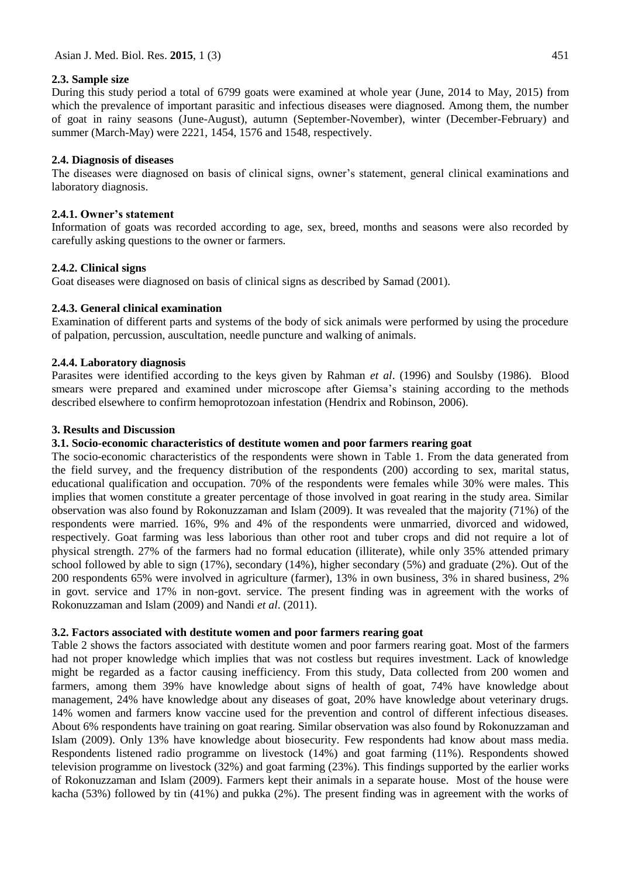### **2.3. Sample size**

During this study period a total of 6799 goats were examined at whole year (June, 2014 to May, 2015) from which the prevalence of important parasitic and infectious diseases were diagnosed. Among them, the number of goat in rainy seasons (June-August), autumn (September-November), winter (December-February) and summer (March-May) were 2221, 1454, 1576 and 1548, respectively.

# **2.4. Diagnosis of diseases**

The diseases were diagnosed on basis of clinical signs, owner's statement, general clinical examinations and laboratory diagnosis.

# **2.4.1. Owner's statement**

Information of goats was recorded according to age, sex, breed, months and seasons were also recorded by carefully asking questions to the owner or farmers.

# **2.4.2. Clinical signs**

Goat diseases were diagnosed on basis of clinical signs as described by Samad (2001).

# **2.4.3. General clinical examination**

Examination of different parts and systems of the body of sick animals were performed by using the procedure of palpation, percussion, auscultation, needle puncture and walking of animals.

## **2.4.4. Laboratory diagnosis**

Parasites were identified according to the keys given by Rahman *et al*. (1996) and Soulsby (1986). Blood smears were prepared and examined under microscope after Giemsa's staining according to the methods described elsewhere to confirm hemoprotozoan infestation (Hendrix and Robinson, 2006).

## **3. Results and Discussion**

# **3.1. Socio-economic characteristics of destitute women and poor farmers rearing goat**

The socio-economic characteristics of the respondents were shown in Table 1. From the data generated from the field survey, and the frequency distribution of the respondents (200) according to sex, marital status, educational qualification and occupation. 70% of the respondents were females while 30% were males. This implies that women constitute a greater percentage of those involved in goat rearing in the study area. Similar observation was also found by Rokonuzzaman and Islam (2009). It was revealed that the majority (71%) of the respondents were married. 16%, 9% and 4% of the respondents were unmarried, divorced and widowed, respectively. Goat farming was less laborious than other root and tuber crops and did not require a lot of physical strength. 27% of the farmers had no formal education (illiterate), while only 35% attended primary school followed by able to sign (17%), secondary (14%), higher secondary (5%) and graduate (2%). Out of the 200 respondents 65% were involved in agriculture (farmer), 13% in own business, 3% in shared business, 2% in govt. service and 17% in non-govt. service. The present finding was in agreement with the works of Rokonuzzaman and Islam (2009) and Nandi *et al*. (2011).

### **3.2. Factors associated with destitute women and poor farmers rearing goat**

Table 2 shows the factors associated with destitute women and poor farmers rearing goat. Most of the farmers had not proper knowledge which implies that was not costless but requires investment. Lack of knowledge might be regarded as a factor causing inefficiency. From this study, Data collected from 200 women and farmers, among them 39% have knowledge about signs of health of goat, 74% have knowledge about management, 24% have knowledge about any diseases of goat, 20% have knowledge about veterinary drugs. 14% women and farmers know vaccine used for the prevention and control of different infectious diseases. About 6% respondents have training on goat rearing. Similar observation was also found by Rokonuzzaman and Islam (2009). Only 13% have knowledge about biosecurity. Few respondents had know about mass media. Respondents listened radio programme on livestock (14%) and goat farming (11%). Respondents showed television programme on livestock (32%) and goat farming (23%). This findings supported by the earlier works of Rokonuzzaman and Islam (2009). Farmers kept their animals in a separate house. Most of the house were kacha (53%) followed by tin (41%) and pukka (2%). The present finding was in agreement with the works of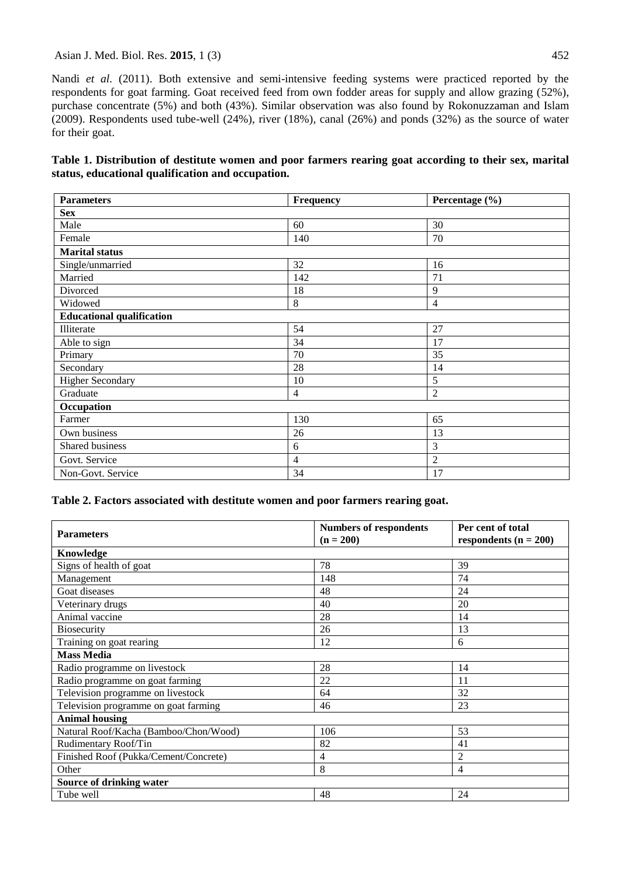#### Asian J. Med. Biol. Res. **2015**, 1 (3) 452

Nandi *et al.* (2011). Both extensive and semi-intensive feeding systems were practiced reported by the respondents for goat farming. Goat received feed from own fodder areas for supply and allow grazing (52%), purchase concentrate (5%) and both (43%). Similar observation was also found by Rokonuzzaman and Islam (2009). Respondents used tube-well (24%), river (18%), canal (26%) and ponds (32%) as the source of water for their goat.

**Table 1. Distribution of destitute women and poor farmers rearing goat according to their sex, marital status, educational qualification and occupation.**

| <b>Parameters</b>                | Frequency      | Percentage (%) |
|----------------------------------|----------------|----------------|
| <b>Sex</b>                       |                |                |
| Male                             | 60             | 30             |
| Female                           | 140            | 70             |
| <b>Marital</b> status            |                |                |
| Single/unmarried                 | 32             | 16             |
| Married                          | 142            | 71             |
| Divorced                         | 18             | 9              |
| Widowed                          | 8              | $\overline{4}$ |
| <b>Educational qualification</b> |                |                |
| Illiterate                       | 54             | 27             |
| Able to sign                     | 34             | 17             |
| Primary                          | 70             | 35             |
| Secondary                        | 28             | 14             |
| <b>Higher Secondary</b>          | 10             | 5              |
| Graduate                         | 4              | $\overline{2}$ |
| Occupation                       |                |                |
| Farmer                           | 130            | 65             |
| Own business                     | 26             | 13             |
| Shared business                  | 6              | 3              |
| Govt. Service                    | $\overline{4}$ | $\overline{2}$ |
| Non-Govt. Service                | 34             | 17             |

### **Table 2. Factors associated with destitute women and poor farmers rearing goat.**

| <b>Parameters</b>                     | <b>Numbers of respondents</b><br>$(n = 200)$ | Per cent of total<br>respondents $(n = 200)$ |
|---------------------------------------|----------------------------------------------|----------------------------------------------|
| Knowledge                             |                                              |                                              |
| Signs of health of goat               | 78                                           | 39                                           |
| Management                            | 148                                          | 74                                           |
| Goat diseases                         | 48                                           | 24                                           |
| Veterinary drugs                      | 40                                           | 20                                           |
| Animal vaccine                        | 28                                           | 14                                           |
| <b>Biosecurity</b>                    | 26                                           | 13                                           |
| Training on goat rearing              | 12                                           | 6                                            |
| <b>Mass Media</b>                     |                                              |                                              |
| Radio programme on livestock          | 28                                           | 14                                           |
| Radio programme on goat farming       | 22                                           | 11                                           |
| Television programme on livestock     | 64                                           | 32                                           |
| Television programme on goat farming  | 46                                           | 23                                           |
| <b>Animal housing</b>                 |                                              |                                              |
| Natural Roof/Kacha (Bamboo/Chon/Wood) | 106                                          | 53                                           |
| Rudimentary Roof/Tin                  | 82                                           | 41                                           |
| Finished Roof (Pukka/Cement/Concrete) | 4                                            | 2                                            |
| Other                                 | 8                                            | 4                                            |
| <b>Source of drinking water</b>       |                                              |                                              |
| Tube well                             | 48                                           | 24                                           |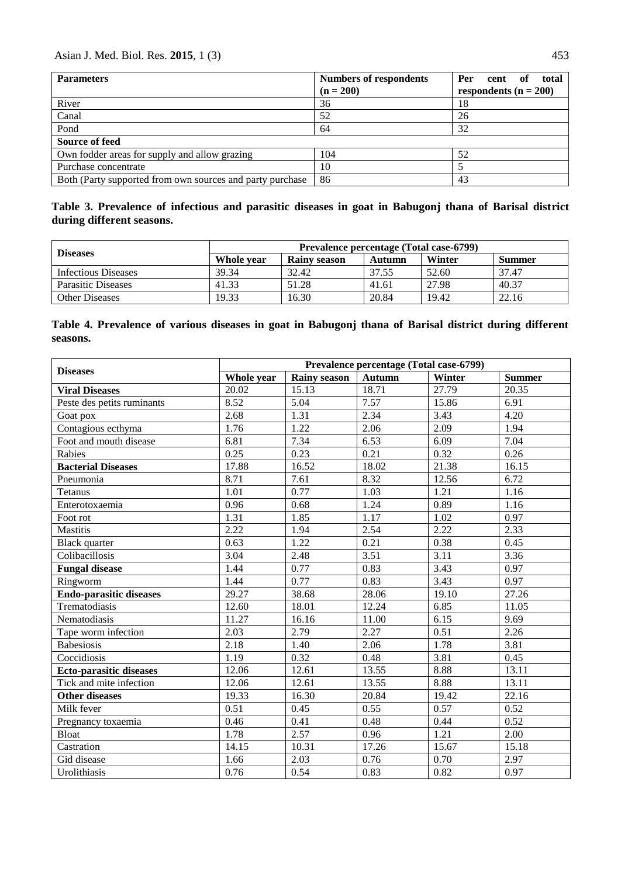| <b>Parameters</b>                                         | <b>Numbers of respondents</b><br>$(n = 200)$ | total<br><b>Per</b><br>оf<br>cent<br>respondents ( $n = 200$ ) |
|-----------------------------------------------------------|----------------------------------------------|----------------------------------------------------------------|
| River                                                     | 36                                           | 18                                                             |
| Canal                                                     | 52                                           | 26                                                             |
| Pond                                                      | 64                                           | 32                                                             |
| <b>Source of feed</b>                                     |                                              |                                                                |
| Own fodder areas for supply and allow grazing             | 104                                          | 52                                                             |
| Purchase concentrate                                      | 10                                           |                                                                |
| Both (Party supported from own sources and party purchase | 86                                           | 43                                                             |

# **Table 3. Prevalence of infectious and parasitic diseases in goat in Babugonj thana of Barisal district during different seasons.**

| <b>Diseases</b>           | Prevalence percentage (Total case-6799) |                     |        |        |               |
|---------------------------|-----------------------------------------|---------------------|--------|--------|---------------|
|                           | Whole year                              | <b>Rainv season</b> | Autumn | Winter | <b>Summer</b> |
| Infectious Diseases       | 39.34                                   | 32.42               | 37.55  | 52.60  | 37.47         |
| <b>Parasitic Diseases</b> | 41.33                                   | 51.28               | 41.61  | 27.98  | 40.37         |
| <b>Other Diseases</b>     | 19.33                                   | 16.30               | 20.84  | 19.42  | 22.16         |

# **Table 4. Prevalence of various diseases in goat in Babugonj thana of Barisal district during different seasons.**

| <b>Diseases</b>                | Prevalence percentage (Total case-6799) |                     |                   |        |               |
|--------------------------------|-----------------------------------------|---------------------|-------------------|--------|---------------|
|                                | Whole year                              | <b>Rainy season</b> | <b>Autumn</b>     | Winter | <b>Summer</b> |
| <b>Viral Diseases</b>          | 20.02                                   | 15.13               | 18.71             | 27.79  | 20.35         |
| Peste des petits ruminants     | 8.52                                    | 5.04                | 7.57              | 15.86  | 6.91          |
| Goat pox                       | 2.68                                    | 1.31                | 2.34              | 3.43   | 4.20          |
| Contagious ecthyma             | 1.76                                    | 1.22                | 2.06              | 2.09   | 1.94          |
| Foot and mouth disease         | 6.81                                    | 7.34                | 6.53              | 6.09   | 7.04          |
| Rabies                         | 0.25                                    | 0.23                | 0.21              | 0.32   | 0.26          |
| <b>Bacterial Diseases</b>      | 17.88                                   | 16.52               | 18.02             | 21.38  | 16.15         |
| Pneumonia                      | 8.71                                    | 7.61                | 8.32              | 12.56  | 6.72          |
| Tetanus                        | 1.01                                    | 0.77                | 1.03              | 1.21   | 1.16          |
| Enterotoxaemia                 | 0.96                                    | 0.68                | 1.24              | 0.89   | 1.16          |
| Foot rot                       | 1.31                                    | 1.85                | 1.17              | 1.02   | 0.97          |
| <b>Mastitis</b>                | 2.22                                    | 1.94                | 2.54              | 2.22   | 2.33          |
| <b>Black</b> quarter           | 0.63                                    | 1.22                | 0.21              | 0.38   | 0.45          |
| Colibacillosis                 | 3.04                                    | 2.48                | $\overline{3.51}$ | 3.11   | 3.36          |
| <b>Fungal disease</b>          | 1.44                                    | 0.77                | 0.83              | 3.43   | 0.97          |
| Ringworm                       | 1.44                                    | 0.77                | 0.83              | 3.43   | 0.97          |
| <b>Endo-parasitic diseases</b> | 29.27                                   | 38.68               | 28.06             | 19.10  | 27.26         |
| Trematodiasis                  | 12.60                                   | 18.01               | 12.24             | 6.85   | 11.05         |
| Nematodiasis                   | 11.27                                   | 16.16               | 11.00             | 6.15   | 9.69          |
| Tape worm infection            | 2.03                                    | 2.79                | 2.27              | 0.51   | 2.26          |
| <b>Babesiosis</b>              | 2.18                                    | 1.40                | 2.06              | 1.78   | 3.81          |
| Coccidiosis                    | 1.19                                    | 0.32                | 0.48              | 3.81   | 0.45          |
| <b>Ecto-parasitic diseases</b> | 12.06                                   | 12.61               | 13.55             | 8.88   | 13.11         |
| Tick and mite infection        | 12.06                                   | 12.61               | 13.55             | 8.88   | 13.11         |
| <b>Other diseases</b>          | 19.33                                   | 16.30               | 20.84             | 19.42  | 22.16         |
| Milk fever                     | 0.51                                    | 0.45                | 0.55              | 0.57   | 0.52          |
| Pregnancy toxaemia             | 0.46                                    | 0.41                | 0.48              | 0.44   | 0.52          |
| Bloat                          | 1.78                                    | 2.57                | 0.96              | 1.21   | 2.00          |
| Castration                     | 14.15                                   | 10.31               | 17.26             | 15.67  | 15.18         |
| Gid disease                    | 1.66                                    | 2.03                | 0.76              | 0.70   | 2.97          |
| Urolithiasis                   | 0.76                                    | 0.54                | 0.83              | 0.82   | 0.97          |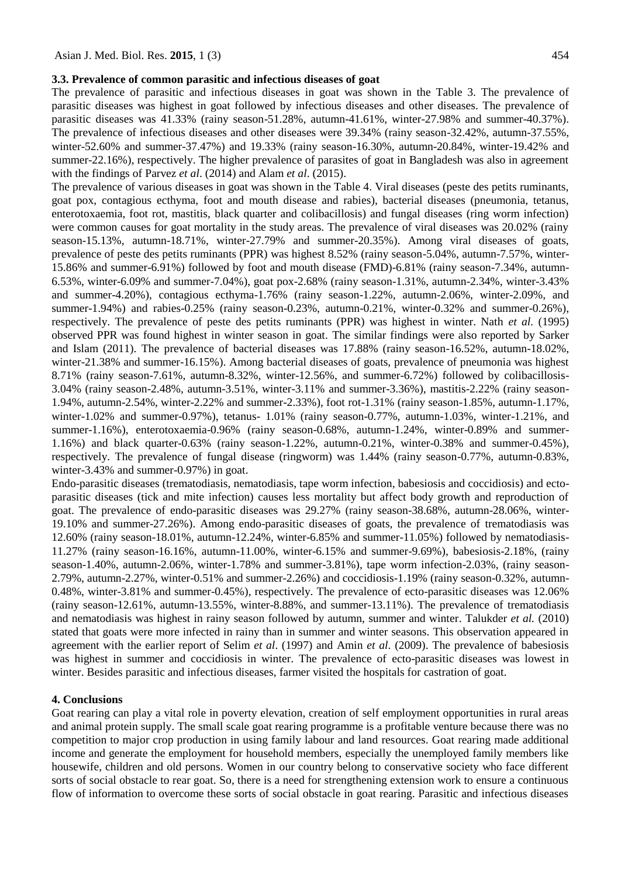#### **3.3. Prevalence of common parasitic and infectious diseases of goat**

The prevalence of parasitic and infectious diseases in goat was shown in the Table 3. The prevalence of parasitic diseases was highest in goat followed by infectious diseases and other diseases. The prevalence of parasitic diseases was 41.33% (rainy season-51.28%, autumn-41.61%, winter-27.98% and summer-40.37%). The prevalence of infectious diseases and other diseases were 39.34% (rainy season-32.42%, autumn-37.55%, winter-52.60% and summer-37.47%) and 19.33% (rainy season-16.30%, autumn-20.84%, winter-19.42% and summer-22.16%), respectively. The higher prevalence of parasites of goat in Bangladesh was also in agreement with the findings of Parvez *et al*. (2014) and Alam *et al*. (2015).

The prevalence of various diseases in goat was shown in the Table 4. Viral diseases (peste des petits ruminants, goat pox, contagious ecthyma, foot and mouth disease and rabies), bacterial diseases (pneumonia, tetanus, enterotoxaemia, foot rot, mastitis, black quarter and colibacillosis) and fungal diseases (ring worm infection) were common causes for goat mortality in the study areas. The prevalence of viral diseases was 20.02% (rainy season-15.13%, autumn-18.71%, winter-27.79% and summer-20.35%). Among viral diseases of goats, prevalence of peste des petits ruminants (PPR) was highest 8.52% (rainy season-5.04%, autumn-7.57%, winter-15.86% and summer-6.91%) followed by foot and mouth disease (FMD)-6.81% (rainy season-7.34%, autumn-6.53%, winter-6.09% and summer-7.04%), goat pox-2.68% (rainy season-1.31%, autumn-2.34%, winter-3.43% and summer-4.20%), contagious ecthyma-1.76% (rainy season-1.22%, autumn-2.06%, winter-2.09%, and summer-1.94%) and rabies-0.25% (rainy season-0.23%, autumn-0.21%, winter-0.32% and summer-0.26%), respectively. The prevalence of peste des petits ruminants (PPR) was highest in winter. Nath *et al.* (1995) observed PPR was found highest in winter season in goat. The similar findings were also reported by Sarker and Islam (2011). The prevalence of bacterial diseases was 17.88% (rainy season-16.52%, autumn-18.02%, winter-21.38% and summer-16.15%). Among bacterial diseases of goats, prevalence of pneumonia was highest 8.71% (rainy season-7.61%, autumn-8.32%, winter-12.56%, and summer-6.72%) followed by colibacillosis-3.04% (rainy season-2.48%, autumn-3.51%, winter-3.11% and summer-3.36%), mastitis-2.22% (rainy season-1.94%, autumn-2.54%, winter-2.22% and summer-2.33%), foot rot-1.31% (rainy season-1.85%, autumn-1.17%, winter-1.02% and summer-0.97%), tetanus- 1.01% (rainy season-0.77%, autumn-1.03%, winter-1.21%, and summer-1.16%), enterotoxaemia-0.96% (rainy season-0.68%, autumn-1.24%, winter-0.89% and summer-1.16%) and black quarter-0.63% (rainy season-1.22%, autumn-0.21%, winter-0.38% and summer-0.45%), respectively. The prevalence of fungal disease (ringworm) was 1.44% (rainy season-0.77%, autumn-0.83%, winter-3.43% and summer-0.97%) in goat.

Endo-parasitic diseases (trematodiasis, nematodiasis, tape worm infection, babesiosis and coccidiosis) and ectoparasitic diseases (tick and mite infection) causes less mortality but affect body growth and reproduction of goat. The prevalence of endo-parasitic diseases was 29.27% (rainy season-38.68%, autumn-28.06%, winter-19.10% and summer-27.26%). Among endo-parasitic diseases of goats, the prevalence of trematodiasis was 12.60% (rainy season-18.01%, autumn-12.24%, winter-6.85% and summer-11.05%) followed by nematodiasis-11.27% (rainy season-16.16%, autumn-11.00%, winter-6.15% and summer-9.69%), babesiosis-2.18%, (rainy season-1.40%, autumn-2.06%, winter-1.78% and summer-3.81%), tape worm infection-2.03%, (rainy season-2.79%, autumn-2.27%, winter-0.51% and summer-2.26%) and coccidiosis-1.19% (rainy season-0.32%, autumn-0.48%, winter-3.81% and summer-0.45%), respectively. The prevalence of ecto-parasitic diseases was 12.06% (rainy season-12.61%, autumn-13.55%, winter-8.88%, and summer-13.11%). The prevalence of trematodiasis and nematodiasis was highest in rainy season followed by autumn, summer and winter. Talukder *et al.* (2010) stated that goats were more infected in rainy than in summer and winter seasons. This observation appeared in agreement with the earlier report of Selim *et al*. (1997) and Amin *et al*. (2009). The prevalence of babesiosis was highest in summer and coccidiosis in winter. The prevalence of ecto-parasitic diseases was lowest in winter. Besides parasitic and infectious diseases, farmer visited the hospitals for castration of goat.

#### **4. Conclusions**

Goat rearing can play a vital role in poverty elevation, creation of self employment opportunities in rural areas and animal protein supply. The small scale goat rearing programme is a profitable venture because there was no competition to major crop production in using family labour and land resources. Goat rearing made additional income and generate the employment for household members, especially the unemployed family members like housewife, children and old persons. Women in our country belong to conservative society who face different sorts of social obstacle to rear goat. So, there is a need for strengthening extension work to ensure a continuous flow of information to overcome these sorts of social obstacle in goat rearing. Parasitic and infectious diseases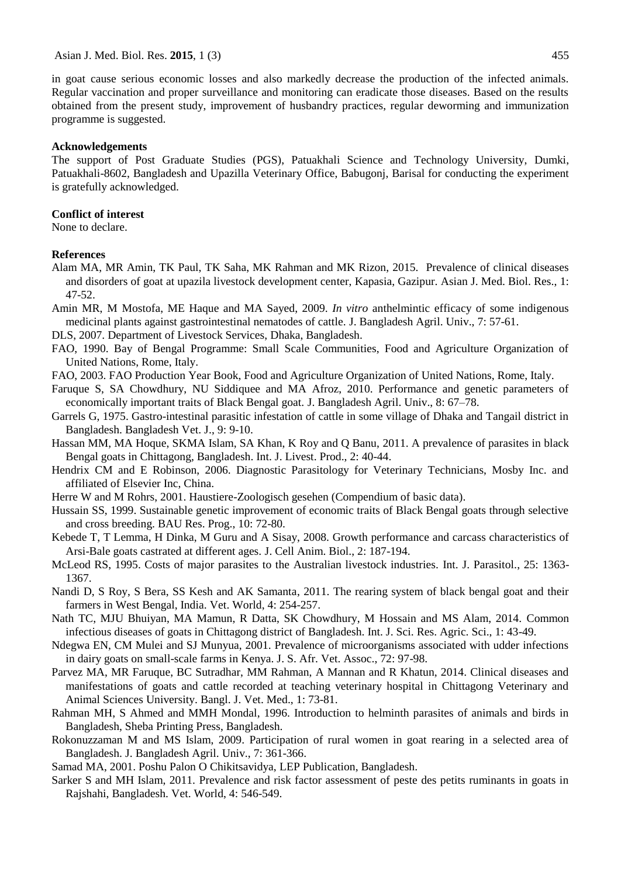in goat cause serious economic losses and also markedly decrease the production of the infected animals. Regular vaccination and proper surveillance and monitoring can eradicate those diseases. Based on the results obtained from the present study, improvement of husbandry practices, regular deworming and immunization programme is suggested.

#### **Acknowledgements**

The support of Post Graduate Studies (PGS), Patuakhali Science and Technology University, Dumki, Patuakhali-8602, Bangladesh and Upazilla Veterinary Office, Babugonj, Barisal for conducting the experiment is gratefully acknowledged.

### **Conflict of interest**

None to declare.

#### **References**

- Alam MA, MR Amin, TK Paul, TK Saha, MK Rahman and MK Rizon, 2015. Prevalence of clinical diseases and disorders of goat at upazila livestock development center, Kapasia, Gazipur. Asian J. Med. Biol. Res., 1: 47-52.
- Amin MR, M Mostofa, ME Haque and MA Sayed, 2009. *In vitro* anthelmintic efficacy of some indigenous medicinal plants against gastrointestinal nematodes of cattle. J. Bangladesh Agril. Univ., 7: 57-61.

DLS, 2007. Department of Livestock Services, Dhaka, Bangladesh.

- FAO, 1990. Bay of Bengal Programme: Small Scale Communities, Food and Agriculture Organization of United Nations, Rome, Italy.
- FAO, 2003. FAO Production Year Book, Food and Agriculture Organization of United Nations, Rome, Italy.
- Faruque S, SA Chowdhury, NU Siddiquee and MA Afroz, 2010. Performance and genetic parameters of economically important traits of Black Bengal goat. J. Bangladesh Agril. Univ., 8: 67–78.
- Garrels G, 1975. Gastro-intestinal parasitic infestation of cattle in some village of Dhaka and Tangail district in Bangladesh. Bangladesh Vet. J., 9: 9-10.
- Hassan MM, MA Hoque, SKMA Islam, SA Khan, K Roy and Q Banu, 2011. A prevalence of parasites in black Bengal goats in Chittagong, Bangladesh. Int. J. Livest. Prod., 2: 40-44.
- Hendrix CM and E Robinson, 2006. Diagnostic Parasitology for Veterinary Technicians, Mosby Inc. and affiliated of Elsevier Inc, China.
- Herre W and M Rohrs, 2001. Haustiere-Zoologisch gesehen (Compendium of basic data).
- Hussain SS, 1999. Sustainable genetic improvement of economic traits of Black Bengal goats through selective and cross breeding. BAU Res. Prog., 10: 72-80.
- Kebede T, T Lemma, H Dinka, M Guru and A Sisay, 2008. Growth performance and carcass characteristics of Arsi-Bale goats castrated at different ages. J. Cell Anim. Biol., 2: 187-194.
- McLeod RS, 1995. Costs of major parasites to the Australian livestock industries. Int. J. Parasitol., 25: 1363- 1367.
- Nandi D, S Roy, S Bera, SS Kesh and AK Samanta, 2011. The rearing system of black bengal goat and their farmers in West Bengal, India. Vet. World, 4: 254-257.
- Nath TC, MJU Bhuiyan, MA Mamun, R Datta, SK Chowdhury, M Hossain and MS Alam, 2014. Common infectious diseases of goats in Chittagong district of Bangladesh. Int. J. Sci. Res. Agric. Sci., 1: 43-49.
- Ndegwa EN, CM Mulei and SJ Munyua, 2001. Prevalence of microorganisms associated with udder infections in dairy goats on small-scale farms in Kenya. J. S. Afr. Vet. Assoc., 72: 97-98.
- Parvez MA, MR Faruque, BC Sutradhar, MM Rahman, A Mannan and R Khatun, 2014. Clinical diseases and manifestations of goats and cattle recorded at teaching veterinary hospital in Chittagong Veterinary and Animal Sciences University. Bangl. J. Vet. Med., 1: 73-81.
- Rahman MH, S Ahmed and MMH Mondal, 1996. Introduction to helminth parasites of animals and birds in Bangladesh, Sheba Printing Press, Bangladesh.
- Rokonuzzaman M and MS Islam, 2009. Participation of rural women in goat rearing in a selected area of Bangladesh. J. Bangladesh Agril. Univ., 7: 361-366.
- Samad MA, 2001. Poshu Palon O Chikitsavidya, LEP Publication, Bangladesh.
- Sarker S and MH Islam, 2011. Prevalence and risk factor assessment of peste des petits ruminants in goats in Rajshahi, Bangladesh. Vet. World, 4: 546-549.